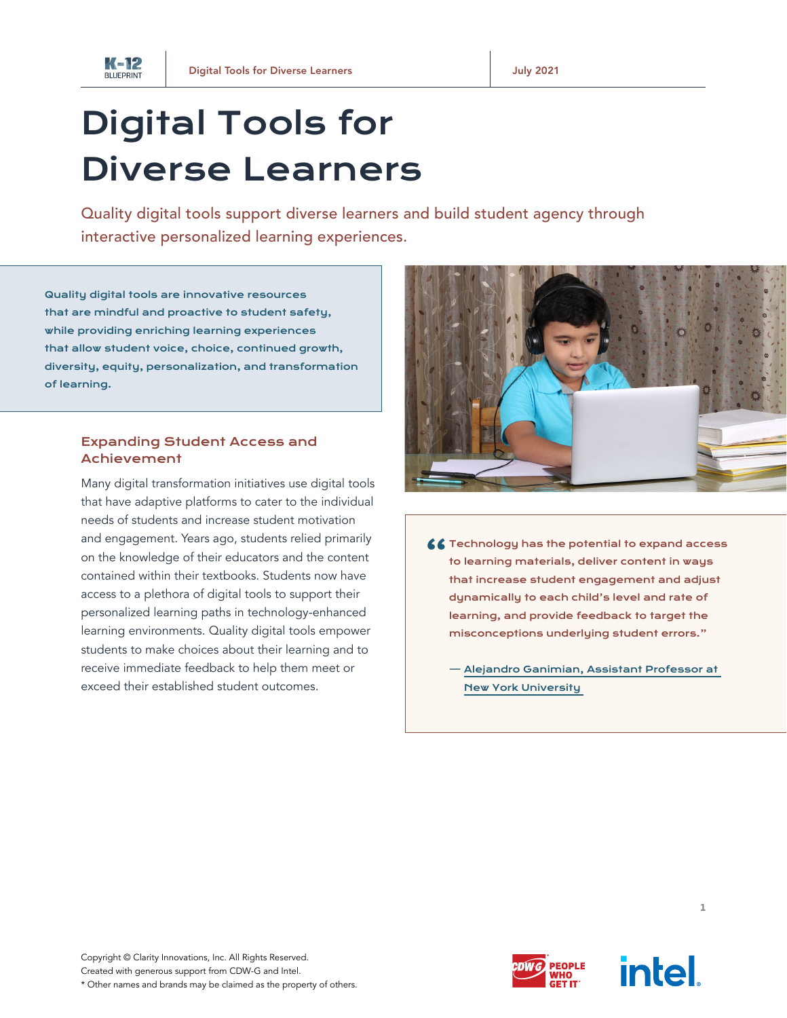

## Digital Tools for Diverse Learners

Quality digital tools support diverse learners and build student agency through interactive personalized learning experiences.

Quality digital tools are innovative resources that are mindful and proactive to student safety, while providing enriching learning experiences that allow student voice, choice, continued growth, diversity, equity, personalization, and transformation of learning.

## Expanding Student Access and Achievement

Many digital transformation initiatives use digital tools that have adaptive platforms to cater to the individual needs of students and increase student motivation and engagement. Years ago, students relied primarily on the knowledge of their educators and the content contained within their textbooks. Students now have access to a plethora of digital tools to support their personalized learning paths in technology-enhanced learning environments. Quality digital tools empower students to make choices about their learning and to receive immediate feedback to help them meet or exceed their established student outcomes.



- $\zeta\zeta$  Technology has the potential to expand access<br>to learning materials, deliver content in ways that increase student engagement and adjust dynamically to each child's level and rate of learning, and provide feedback to target the misconceptions underlying student errors."
	- — [Alejandro Ganimian, Assistant Professor at](https://connectinglearners.economist.com/data/EIU_Ericsson_Connecting.pdf)  [New York University](https://connectinglearners.economist.com/data/EIU_Ericsson_Connecting.pdf)





1